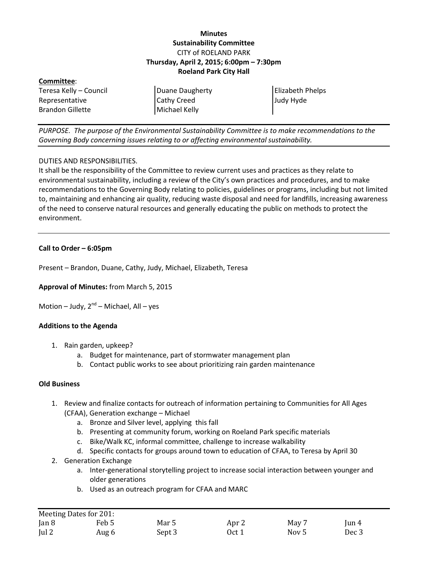# **Minutes Sustainability Committee** CITY of ROELAND PARK **Thursday, April 2, 2015; 6:00pm – 7:30pm Roeland Park City Hall**

| Committee:             |                    |                         |
|------------------------|--------------------|-------------------------|
| Teresa Kelly – Council | Duane Daugherty    | <b>Elizabeth Phelps</b> |
| Representative         | <b>Cathy Creed</b> | Judy Hyde               |
| Brandon Gillette       | Michael Kelly      |                         |
|                        |                    |                         |

*PURPOSE. The purpose of the Environmental Sustainability Committee is to make recommendations to the Governing Body concerning issues relating to or affecting environmental sustainability.*

### DUTIES AND RESPONSIBILITIES.

It shall be the responsibility of the Committee to review current uses and practices as they relate to environmental sustainability, including a review of the City's own practices and procedures, and to make recommendations to the Governing Body relating to policies, guidelines or programs, including but not limited to, maintaining and enhancing air quality, reducing waste disposal and need for landfills, increasing awareness of the need to conserve natural resources and generally educating the public on methods to protect the environment.

### **Call to Order – 6:05pm**

Present – Brandon, Duane, Cathy, Judy, Michael, Elizabeth, Teresa

**Approval of Minutes:** from March 5, 2015

Motion – Judy,  $2^{nd}$  – Michael, All – yes

## **Additions to the Agenda**

- 1. Rain garden, upkeep?
	- a. Budget for maintenance, part of stormwater management plan
	- b. Contact public works to see about prioritizing rain garden maintenance

#### **Old Business**

- 1. Review and finalize contacts for outreach of information pertaining to Communities for All Ages (CFAA), Generation exchange – Michael
	- a. Bronze and Silver level, applying this fall
	- b. Presenting at community forum, working on Roeland Park specific materials
	- c. Bike/Walk KC, informal committee, challenge to increase walkability
	- d. Specific contacts for groups around town to education of CFAA, to Teresa by April 30
- 2. Generation Exchange
	- a. Inter-generational storytelling project to increase social interaction between younger and older generations
	- b. Used as an outreach program for CFAA and MARC

| Meeting Dates for 201: |       |        |       |       |               |
|------------------------|-------|--------|-------|-------|---------------|
| Jan 8                  | Feb 5 | Mar 5  | Apr 2 | May 7 | $\lceil$ un 4 |
| ul2                    | Aug 6 | Sept 3 | Oct 1 | Nov 5 | Dec 3         |